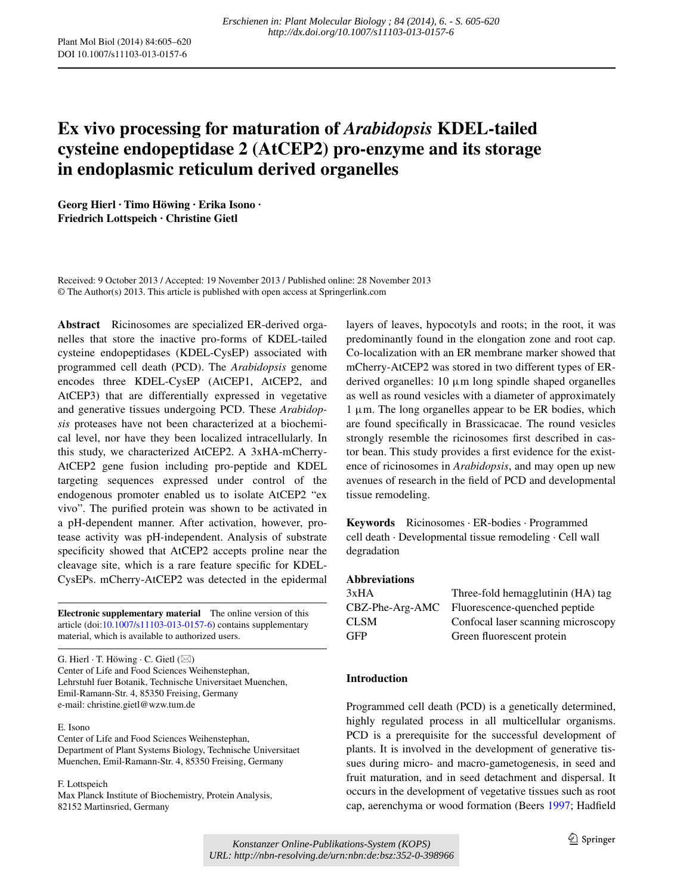# **Ex vivo processing for maturation of** *Arabidopsis* **KDEL‑tailed cysteine endopeptidase 2 (AtCEP2) pro‑enzyme and its storage in endoplasmic reticulum derived organelles**

**Georg Hierl · Timo Höwing · Erika Isono · Friedrich Lottspeich · Christine Gietl**

Received: 9 October 2013 / Accepted: 19 November 2013 / Published online: 28 November 2013 © The Author(s) 2013. This article is published with open access at Springerlink.com

**Abstract** Ricinosomes are specialized ER-derived organelles that store the inactive pro-forms of KDEL-tailed cysteine endopeptidases (KDEL-CysEP) associated with programmed cell death (PCD). The *Arabidopsis* genome encodes three KDEL-CysEP (AtCEP1, AtCEP2, and AtCEP3) that are differentially expressed in vegetative and generative tissues undergoing PCD. These *Arabidopsis* proteases have not been characterized at a biochemical level, nor have they been localized intracellularly. In this study, we characterized AtCEP2. A 3xHA-mCherry-AtCEP2 gene fusion including pro-peptide and KDEL targeting sequences expressed under control of the endogenous promoter enabled us to isolate AtCEP2 "ex vivo". The purified protein was shown to be activated in a pH-dependent manner. After activation, however, protease activity was pH-independent. Analysis of substrate specificity showed that AtCEP2 accepts proline near the cleavage site, which is a rare feature specific for KDEL-CysEPs. mCherry-AtCEP2 was detected in the epidermal

**Electronic supplementary material** The online version of this article (doi[:10.1007/s11103-013-0157-6](http://dx.doi.org/10.1007/s11103-013-0157-6)) contains supplementary material, which is available to authorized users.

G. Hierl  $\cdot$  T. Höwing  $\cdot$  C. Gietl ( $\boxtimes$ ) Center of Life and Food Sciences Weihenstephan, Lehrstuhl fuer Botanik, Technische Universitaet Muenchen, Emil-Ramann-Str. 4, 85350 Freising, Germany e-mail: christine.gietl@wzw.tum.de

#### E. Isono

Center of Life and Food Sciences Weihenstephan, Department of Plant Systems Biology, Technische Universitaet Muenchen, Emil-Ramann-Str. 4, 85350 Freising, Germany

F. Lottspeich Max Planck Institute of Biochemistry, Protein Analysis, 82152 Martinsried, Germany

layers of leaves, hypocotyls and roots; in the root, it was predominantly found in the elongation zone and root cap. Co-localization with an ER membrane marker showed that mCherry-AtCEP2 was stored in two different types of ERderived organelles: 10 μm long spindle shaped organelles as well as round vesicles with a diameter of approximately  $1 \mu$ m. The long organelles appear to be ER bodies, which are found specifically in Brassicacae. The round vesicles strongly resemble the ricinosomes first described in castor bean. This study provides a first evidence for the existence of ricinosomes in *Arabidopsis*, and may open up new avenues of research in the field of PCD and developmental tissue remodeling.

**Keywords** Ricinosomes · ER-bodies · Programmed cell death · Developmental tissue remodeling · Cell wall degradation

## **Abbreviations**

| 3xHA            | Three-fold hemagglutinin (HA) tag  |
|-----------------|------------------------------------|
| CBZ-Phe-Arg-AMC | Fluorescence-quenched peptide      |
| CLSM            | Confocal laser scanning microscopy |
| GFP             | Green fluorescent protein          |

## **Introduction**

Programmed cell death (PCD) is a genetically determined, highly regulated process in all multicellular organisms. PCD is a prerequisite for the successful development of plants. It is involved in the development of generative tissues during micro- and macro-gametogenesis, in seed and fruit maturation, and in seed detachment and dispersal. It occurs in the development of vegetative tissues such as root cap, aerenchyma or wood formation (Beers [1997](#page-14-0); Hadfield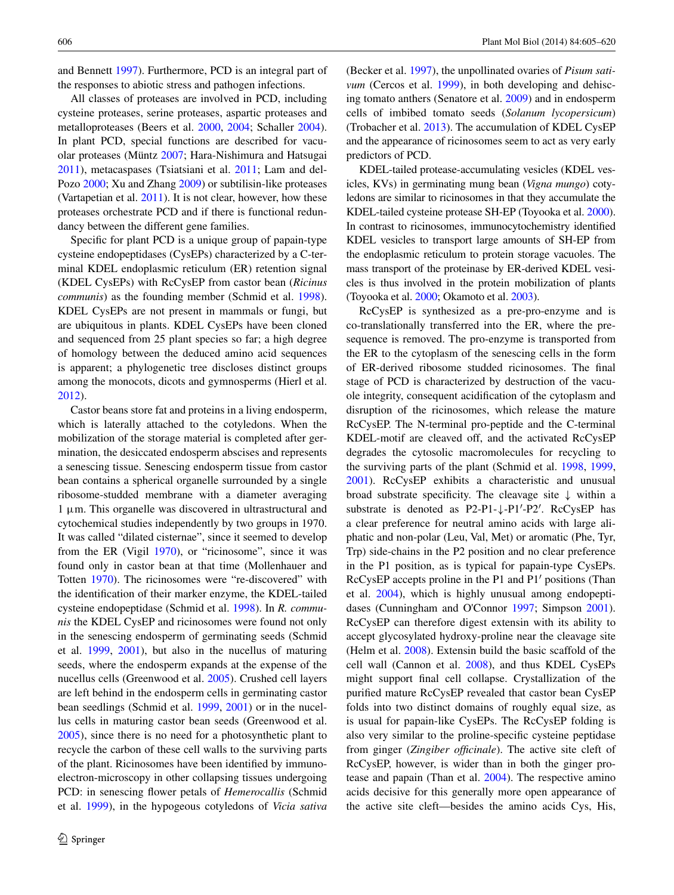and Bennett [1997\)](#page-14-1). Furthermore, PCD is an integral part of the responses to abiotic stress and pathogen infections.

All classes of proteases are involved in PCD, including cysteine proteases, serine proteases, aspartic proteases and metalloproteases (Beers et al. [2000,](#page-14-2) [2004;](#page-14-3) Schaller [2004](#page-15-0)). In plant PCD, special functions are described for vacuolar proteases (Müntz [2007](#page-15-1); Hara-Nishimura and Hatsugai [2011](#page-15-2)), metacaspases (Tsiatsiani et al. [2011](#page-15-3); Lam and del-Pozo [2000](#page-15-4); Xu and Zhang [2009](#page-15-5)) or subtilisin-like proteases (Vartapetian et al. [2011\)](#page-15-6). It is not clear, however, how these proteases orchestrate PCD and if there is functional redundancy between the different gene families.

Specific for plant PCD is a unique group of papain-type cysteine endopeptidases (CysEPs) characterized by a C-terminal KDEL endoplasmic reticulum (ER) retention signal (KDEL CysEPs) with RcCysEP from castor bean (*Ricinus communis*) as the founding member (Schmid et al. [1998](#page-15-7)). KDEL CysEPs are not present in mammals or fungi, but are ubiquitous in plants. KDEL CysEPs have been cloned and sequenced from 25 plant species so far; a high degree of homology between the deduced amino acid sequences is apparent; a phylogenetic tree discloses distinct groups among the monocots, dicots and gymnosperms (Hierl et al. [2012](#page-15-8)).

Castor beans store fat and proteins in a living endosperm, which is laterally attached to the cotyledons. When the mobilization of the storage material is completed after germination, the desiccated endosperm abscises and represents a senescing tissue. Senescing endosperm tissue from castor bean contains a spherical organelle surrounded by a single ribosome-studded membrane with a diameter averaging 1 μm. This organelle was discovered in ultrastructural and cytochemical studies independently by two groups in 1970. It was called "dilated cisternae", since it seemed to develop from the ER (Vigil [1970](#page-15-9)), or "ricinosome", since it was found only in castor bean at that time (Mollenhauer and Totten [1970](#page-15-10)). The ricinosomes were "re-discovered" with the identification of their marker enzyme, the KDEL-tailed cysteine endopeptidase (Schmid et al. [1998\)](#page-15-7). In *R. communis* the KDEL CysEP and ricinosomes were found not only in the senescing endosperm of germinating seeds (Schmid et al. [1999](#page-15-11), [2001](#page-15-12)), but also in the nucellus of maturing seeds, where the endosperm expands at the expense of the nucellus cells (Greenwood et al. [2005](#page-14-4)). Crushed cell layers are left behind in the endosperm cells in germinating castor bean seedlings (Schmid et al. [1999,](#page-15-11) [2001\)](#page-15-12) or in the nucellus cells in maturing castor bean seeds (Greenwood et al. [2005](#page-14-4)), since there is no need for a photosynthetic plant to recycle the carbon of these cell walls to the surviving parts of the plant. Ricinosomes have been identified by immunoelectron-microscopy in other collapsing tissues undergoing PCD: in senescing flower petals of *Hemerocallis* (Schmid et al. [1999\)](#page-15-11), in the hypogeous cotyledons of *Vicia sativa*

(Becker et al. [1997\)](#page-14-5), the unpollinated ovaries of *Pisum sativum* (Cercos et al. [1999](#page-14-6)), in both developing and dehiscing tomato anthers (Senatore et al. [2009\)](#page-15-13) and in endosperm cells of imbibed tomato seeds (*Solanum lycopersicum*) (Trobacher et al. [2013\)](#page-15-14). The accumulation of KDEL CysEP and the appearance of ricinosomes seem to act as very early predictors of PCD.

KDEL-tailed protease-accumulating vesicles (KDEL vesicles, KVs) in germinating mung bean (*Vigna mungo*) cotyledons are similar to ricinosomes in that they accumulate the KDEL-tailed cysteine protease SH-EP (Toyooka et al. [2000\)](#page-15-15). In contrast to ricinosomes, immunocytochemistry identified KDEL vesicles to transport large amounts of SH-EP from the endoplasmic reticulum to protein storage vacuoles. The mass transport of the proteinase by ER-derived KDEL vesicles is thus involved in the protein mobilization of plants (Toyooka et al. [2000;](#page-15-15) Okamoto et al. [2003](#page-15-16)).

RcCysEP is synthesized as a pre-pro-enzyme and is co-translationally transferred into the ER, where the presequence is removed. The pro-enzyme is transported from the ER to the cytoplasm of the senescing cells in the form of ER-derived ribosome studded ricinosomes. The final stage of PCD is characterized by destruction of the vacuole integrity, consequent acidification of the cytoplasm and disruption of the ricinosomes, which release the mature RcCysEP. The N-terminal pro-peptide and the C-terminal KDEL-motif are cleaved off, and the activated RcCysEP degrades the cytosolic macromolecules for recycling to the surviving parts of the plant (Schmid et al. [1998,](#page-15-7) [1999,](#page-15-11) [2001](#page-15-12)). RcCysEP exhibits a characteristic and unusual broad substrate specificity. The cleavage site ↓ within a substrate is denoted as P2-P1-↓-P1′-P2′. RcCysEP has a clear preference for neutral amino acids with large aliphatic and non-polar (Leu, Val, Met) or aromatic (Phe, Tyr, Trp) side-chains in the P2 position and no clear preference in the P1 position, as is typical for papain-type CysEPs. RcCysEP accepts proline in the P1 and P1′ positions (Than et al. [2004](#page-15-17)), which is highly unusual among endopeptidases (Cunningham and O'Connor [1997;](#page-14-7) Simpson [2001](#page-15-18)). RcCysEP can therefore digest extensin with its ability to accept glycosylated hydroxy-proline near the cleavage site (Helm et al. [2008](#page-15-19)). Extensin build the basic scaffold of the cell wall (Cannon et al. [2008\)](#page-14-8), and thus KDEL CysEPs might support final cell collapse. Crystallization of the purified mature RcCysEP revealed that castor bean CysEP folds into two distinct domains of roughly equal size, as is usual for papain-like CysEPs. The RcCysEP folding is also very similar to the proline-specific cysteine peptidase from ginger (*Zingiber officinale*). The active site cleft of RcCysEP, however, is wider than in both the ginger protease and papain (Than et al. [2004\)](#page-15-17). The respective amino acids decisive for this generally more open appearance of the active site cleft—besides the amino acids Cys, His,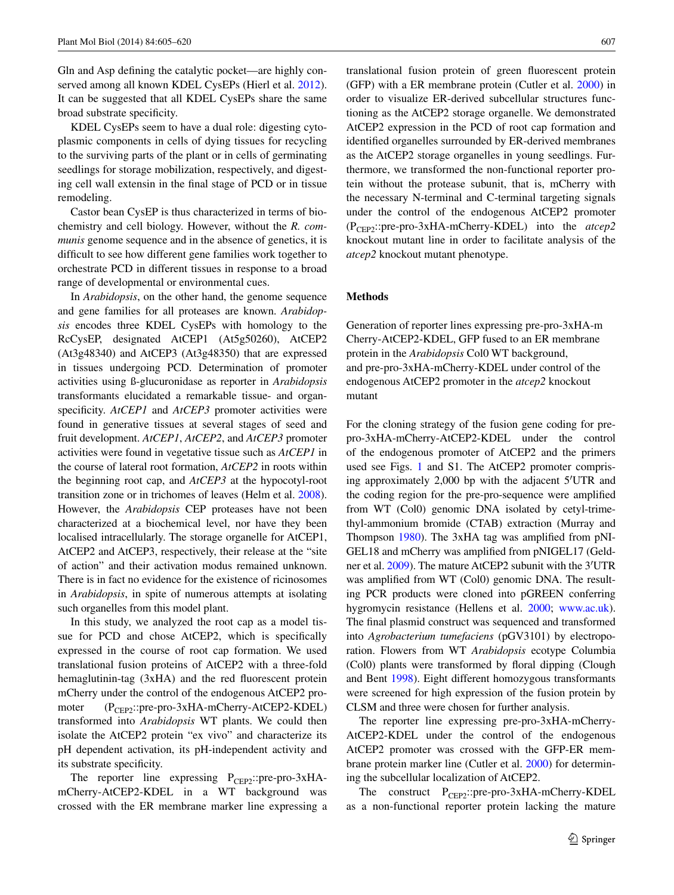Gln and Asp defining the catalytic pocket—are highly conserved among all known KDEL CysEPs (Hierl et al. [2012](#page-15-8)). It can be suggested that all KDEL CysEPs share the same broad substrate specificity.

KDEL CysEPs seem to have a dual role: digesting cytoplasmic components in cells of dying tissues for recycling to the surviving parts of the plant or in cells of germinating seedlings for storage mobilization, respectively, and digesting cell wall extensin in the final stage of PCD or in tissue remodeling.

Castor bean CysEP is thus characterized in terms of biochemistry and cell biology. However, without the *R. communis* genome sequence and in the absence of genetics, it is difficult to see how different gene families work together to orchestrate PCD in different tissues in response to a broad range of developmental or environmental cues.

In *Arabidopsis*, on the other hand, the genome sequence and gene families for all proteases are known. *Arabidopsis* encodes three KDEL CysEPs with homology to the RcCysEP, designated AtCEP1 (At5g50260), AtCEP2 (At3g48340) and AtCEP3 (At3g48350) that are expressed in tissues undergoing PCD. Determination of promoter activities using ß-glucuronidase as reporter in *Arabidopsis* transformants elucidated a remarkable tissue- and organspecificity. *AtCEP1* and *AtCEP3* promoter activities were found in generative tissues at several stages of seed and fruit development. *AtCEP1*, *AtCEP2*, and *AtCEP3* promoter activities were found in vegetative tissue such as *AtCEP1* in the course of lateral root formation, *AtCEP2* in roots within the beginning root cap, and *AtCEP3* at the hypocotyl-root transition zone or in trichomes of leaves (Helm et al. [2008](#page-15-19)). However, the *Arabidopsis* CEP proteases have not been characterized at a biochemical level, nor have they been localised intracellularly. The storage organelle for AtCEP1, AtCEP2 and AtCEP3, respectively, their release at the "site of action" and their activation modus remained unknown. There is in fact no evidence for the existence of ricinosomes in *Arabidopsis*, in spite of numerous attempts at isolating such organelles from this model plant.

In this study, we analyzed the root cap as a model tissue for PCD and chose AtCEP2, which is specifically expressed in the course of root cap formation. We used translational fusion proteins of AtCEP2 with a three-fold hemaglutinin-tag (3xHA) and the red fluorescent protein mCherry under the control of the endogenous AtCEP2 promoter (P<sub>CEP2</sub>::pre-pro-3xHA-mCherry-AtCEP2-KDEL) transformed into *Arabidopsis* WT plants. We could then isolate the AtCEP2 protein "ex vivo" and characterize its pH dependent activation, its pH-independent activity and its substrate specificity.

The reporter line expressing  $P_{CEP2}$ ::pre-pro-3xHAmCherry-AtCEP2-KDEL in a WT background was crossed with the ER membrane marker line expressing a translational fusion protein of green fluorescent protein (GFP) with a ER membrane protein (Cutler et al. [2000](#page-14-9)) in order to visualize ER-derived subcellular structures functioning as the AtCEP2 storage organelle. We demonstrated AtCEP2 expression in the PCD of root cap formation and identified organelles surrounded by ER-derived membranes as the AtCEP2 storage organelles in young seedlings. Furthermore, we transformed the non-functional reporter protein without the protease subunit, that is, mCherry with the necessary N-terminal and C-terminal targeting signals under the control of the endogenous AtCEP2 promoter (PCEP2::pre-pro-3xHA-mCherry-KDEL) into the *atcep2* knockout mutant line in order to facilitate analysis of the *atcep2* knockout mutant phenotype.

#### **Methods**

Generation of reporter lines expressing pre-pro-3xHA-m Cherry-AtCEP2-KDEL, GFP fused to an ER membrane protein in the *Arabidopsis* Col0 WT background, and pre-pro-3xHA-mCherry-KDEL under control of the endogenous AtCEP2 promoter in the *atcep2* knockout mutant

For the cloning strategy of the fusion gene coding for prepro-3xHA-mCherry-AtCEP2-KDEL under the control of the endogenous promoter of AtCEP2 and the primers used see Figs. [1](#page-3-0) and S1. The AtCEP2 promoter comprising approximately 2,000 bp with the adjacent 5′UTR and the coding region for the pre-pro-sequence were amplified from WT (Col0) genomic DNA isolated by cetyl-trimethyl-ammonium bromide (CTAB) extraction (Murray and Thompson [1980\)](#page-15-20). The 3xHA tag was amplified from pNI-GEL18 and mCherry was amplified from pNIGEL17 (Geldner et al. [2009\)](#page-14-10). The mature AtCEP2 subunit with the 3′UTR was amplified from WT (Col0) genomic DNA. The resulting PCR products were cloned into pGREEN conferring hygromycin resistance (Hellens et al. [2000;](#page-15-21) [www.ac.uk](http://www.ac.uk)). The final plasmid construct was sequenced and transformed into *Agrobacterium tumefaciens* (pGV3101) by electroporation. Flowers from WT *Arabidopsis* ecotype Columbia (Col0) plants were transformed by floral dipping (Clough and Bent [1998](#page-14-11)). Eight different homozygous transformants were screened for high expression of the fusion protein by CLSM and three were chosen for further analysis.

The reporter line expressing pre-pro-3xHA-mCherry-AtCEP2-KDEL under the control of the endogenous AtCEP2 promoter was crossed with the GFP-ER membrane protein marker line (Cutler et al. [2000\)](#page-14-9) for determining the subcellular localization of AtCEP2.

The construct  $P_{CEP2}$ ::pre-pro-3xHA-mCherry-KDEL as a non-functional reporter protein lacking the mature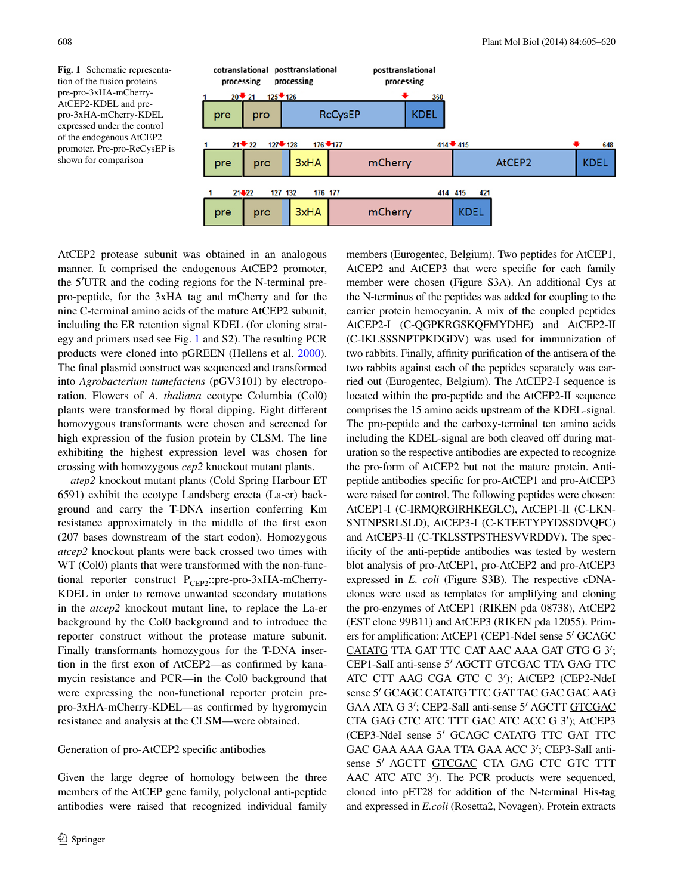<span id="page-3-0"></span>**Fig. 1** Schematic representation of the fusion proteins pre-pro-3xHA-mCherry-AtCEP2-KDEL and prepro-3xHA-mCherry-KDEL expressed under the control of the endogenous AtCEP2 promoter. Pre-pro-RcCysEP is shown for comparison



AtCEP2 protease subunit was obtained in an analogous manner. It comprised the endogenous AtCEP2 promoter, the 5′UTR and the coding regions for the N-terminal prepro-peptide, for the 3xHA tag and mCherry and for the nine C-terminal amino acids of the mature AtCEP2 subunit, including the ER retention signal KDEL (for cloning strategy and primers used see Fig. [1](#page-3-0) and S2). The resulting PCR products were cloned into pGREEN (Hellens et al. [2000](#page-15-21)). The final plasmid construct was sequenced and transformed into *Agrobacterium tumefaciens* (pGV3101) by electroporation. Flowers of *A. thaliana* ecotype Columbia (Col0) plants were transformed by floral dipping. Eight different homozygous transformants were chosen and screened for high expression of the fusion protein by CLSM. The line exhibiting the highest expression level was chosen for crossing with homozygous *cep2* knockout mutant plants.

*atep2* knockout mutant plants (Cold Spring Harbour ET 6591) exhibit the ecotype Landsberg erecta (La-er) background and carry the T-DNA insertion conferring Km resistance approximately in the middle of the first exon (207 bases downstream of the start codon). Homozygous *atcep2* knockout plants were back crossed two times with WT (Col0) plants that were transformed with the non-functional reporter construct  $P_{CEP2}$ ::pre-pro-3xHA-mCherry-KDEL in order to remove unwanted secondary mutations in the *atcep2* knockout mutant line, to replace the La-er background by the Col0 background and to introduce the reporter construct without the protease mature subunit. Finally transformants homozygous for the T-DNA insertion in the first exon of AtCEP2—as confirmed by kanamycin resistance and PCR—in the Col0 background that were expressing the non-functional reporter protein prepro-3xHA-mCherry-KDEL—as confirmed by hygromycin resistance and analysis at the CLSM—were obtained.

#### Generation of pro-AtCEP2 specific antibodies

Given the large degree of homology between the three members of the AtCEP gene family, polyclonal anti-peptide antibodies were raised that recognized individual family members (Eurogentec, Belgium). Two peptides for AtCEP1, AtCEP2 and AtCEP3 that were specific for each family member were chosen (Figure S3A). An additional Cys at the N-terminus of the peptides was added for coupling to the carrier protein hemocyanin. A mix of the coupled peptides AtCEP2-I (C-QGPKRGSKQFMYDHE) and AtCEP2-II (C-IKLSSSNPTPKDGDV) was used for immunization of two rabbits. Finally, affinity purification of the antisera of the two rabbits against each of the peptides separately was carried out (Eurogentec, Belgium). The AtCEP2-I sequence is located within the pro-peptide and the AtCEP2-II sequence comprises the 15 amino acids upstream of the KDEL-signal. The pro-peptide and the carboxy-terminal ten amino acids including the KDEL-signal are both cleaved off during maturation so the respective antibodies are expected to recognize the pro-form of AtCEP2 but not the mature protein. Antipeptide antibodies specific for pro-AtCEP1 and pro-AtCEP3 were raised for control. The following peptides were chosen: AtCEP1-I (C-IRMQRGIRHKEGLC), AtCEP1-II (C-LKN-SNTNPSRLSLD), AtCEP3-I (C-KTEETYPYDSSDVQFC) and AtCEP3-II (C-TKLSSTPSTHESVVRDDV). The specificity of the anti-peptide antibodies was tested by western blot analysis of pro-AtCEP1, pro-AtCEP2 and pro-AtCEP3 expressed in *E. coli* (Figure S3B). The respective cDNAclones were used as templates for amplifying and cloning the pro-enzymes of AtCEP1 (RIKEN pda 08738), AtCEP2 (EST clone 99B11) and AtCEP3 (RIKEN pda 12055). Primers for amplification: AtCEP1 (CEP1-NdeI sense 5′ GCAGC CATATG TTA GAT TTC CAT AAC AAA GAT GTG G 3′; CEP1-SalI anti-sense 5′ AGCTT GTCGAC TTA GAG TTC ATC CTT AAG CGA GTC C 3′); AtCEP2 (CEP2-NdeI sense 5' GCAGC CATATG TTC GAT TAC GAC GAC AAG GAA ATA G 3′; CEP2-SalI anti-sense 5′ AGCTT GTCGAC CTA GAG CTC ATC TTT GAC ATC ACC G 3′); AtCEP3 (CEP3-NdeI sense 5′ GCAGC CATATG TTC GAT TTC GAC GAA AAA GAA TTA GAA ACC 3′; CEP3-SalI antisense 5′ AGCTT GTCGAC CTA GAG CTC GTC TTT AAC ATC ATC 3′). The PCR products were sequenced, cloned into pET28 for addition of the N-terminal His-tag and expressed in *E.coli* (Rosetta2, Novagen). Protein extracts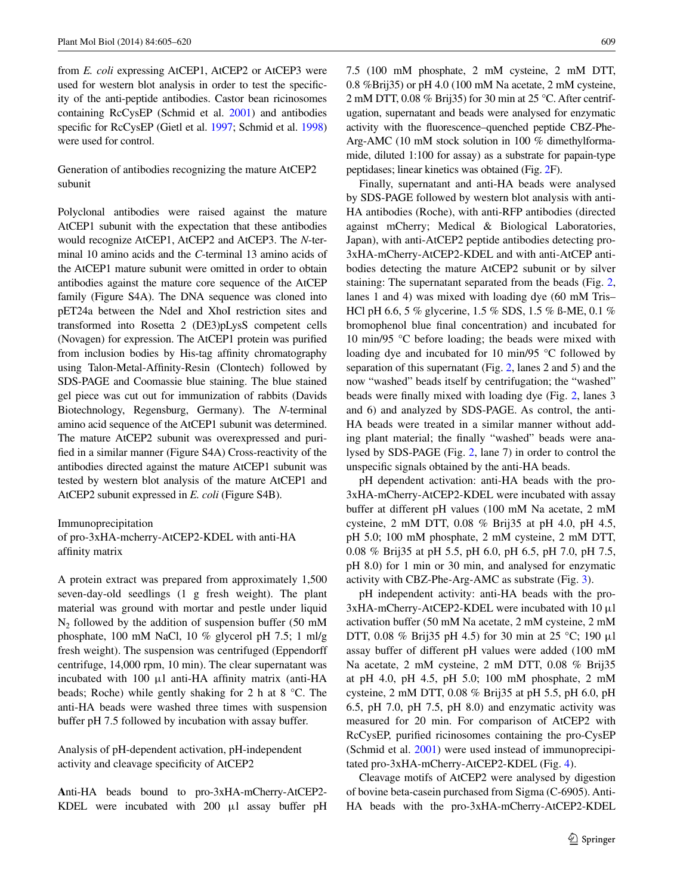from *E. coli* expressing AtCEP1, AtCEP2 or AtCEP3 were used for western blot analysis in order to test the specificity of the anti-peptide antibodies. Castor bean ricinosomes containing RcCysEP (Schmid et al. [2001](#page-15-12)) and antibodies specific for RcCysEP (Gietl et al. [1997;](#page-14-12) Schmid et al. [1998\)](#page-15-7) were used for control.

Generation of antibodies recognizing the mature AtCEP2 subunit

Polyclonal antibodies were raised against the mature AtCEP1 subunit with the expectation that these antibodies would recognize AtCEP1, AtCEP2 and AtCEP3. The *N*-terminal 10 amino acids and the *C*-terminal 13 amino acids of the AtCEP1 mature subunit were omitted in order to obtain antibodies against the mature core sequence of the AtCEP family (Figure S4A). The DNA sequence was cloned into pET24a between the NdeI and XhoI restriction sites and transformed into Rosetta 2 (DE3)pLysS competent cells (Novagen) for expression. The AtCEP1 protein was purified from inclusion bodies by His-tag affinity chromatography using Talon-Metal-Affinity-Resin (Clontech) followed by SDS-PAGE and Coomassie blue staining. The blue stained gel piece was cut out for immunization of rabbits (Davids Biotechnology, Regensburg, Germany). The *N*-terminal amino acid sequence of the AtCEP1 subunit was determined. The mature AtCEP2 subunit was overexpressed and purified in a similar manner (Figure S4A) Cross-reactivity of the antibodies directed against the mature AtCEP1 subunit was tested by western blot analysis of the mature AtCEP1 and AtCEP2 subunit expressed in *E. coli* (Figure S4B).

Immunoprecipitation

of pro-3xHA-mcherry-AtCEP2-KDEL with anti-HA affinity matrix

A protein extract was prepared from approximately 1,500 seven-day-old seedlings (1 g fresh weight). The plant material was ground with mortar and pestle under liquid  $N<sub>2</sub>$  followed by the addition of suspension buffer (50 mM phosphate, 100 mM NaCl, 10 % glycerol pH 7.5; 1 ml/g fresh weight). The suspension was centrifuged (Eppendorff centrifuge, 14,000 rpm, 10 min). The clear supernatant was incubated with 100 μl anti-HA affinity matrix (anti-HA beads; Roche) while gently shaking for 2 h at 8 °C. The anti-HA beads were washed three times with suspension buffer pH 7.5 followed by incubation with assay buffer.

Analysis of pH-dependent activation, pH-independent activity and cleavage specificity of AtCEP2

**A**nti-HA beads bound to pro-3xHA-mCherry-AtCEP2- KDEL were incubated with 200 μl assay buffer pH

7.5 (100 mM phosphate, 2 mM cysteine, 2 mM DTT, 0.8 %Brij35) or pH 4.0 (100 mM Na acetate, 2 mM cysteine, 2 mM DTT, 0.08 % Brij35) for 30 min at 25 °C. After centrifugation, supernatant and beads were analysed for enzymatic activity with the fluorescence–quenched peptide CBZ-Phe-Arg-AMC (10 mM stock solution in 100 % dimethylformamide, diluted 1:100 for assay) as a substrate for papain-type peptidases; linear kinetics was obtained (Fig. [2](#page-5-0)F).

Finally, supernatant and anti-HA beads were analysed by SDS-PAGE followed by western blot analysis with anti-HA antibodies (Roche), with anti-RFP antibodies (directed against mCherry; Medical & Biological Laboratories, Japan), with anti-AtCEP2 peptide antibodies detecting pro-3xHA-mCherry-AtCEP2-KDEL and with anti-AtCEP antibodies detecting the mature AtCEP2 subunit or by silver staining: The supernatant separated from the beads (Fig. [2,](#page-5-0) lanes 1 and 4) was mixed with loading dye (60 mM Tris– HCl pH 6.6, 5 % glycerine, 1.5 % SDS, 1.5 % ß-ME, 0.1 % bromophenol blue final concentration) and incubated for 10 min/95 °C before loading; the beads were mixed with loading dye and incubated for 10 min/95 °C followed by separation of this supernatant (Fig. [2](#page-5-0), lanes 2 and 5) and the now "washed" beads itself by centrifugation; the "washed" beads were finally mixed with loading dye (Fig. [2](#page-5-0), lanes 3 and 6) and analyzed by SDS-PAGE. As control, the anti-HA beads were treated in a similar manner without adding plant material; the finally "washed" beads were analysed by SDS-PAGE (Fig. [2](#page-5-0), lane 7) in order to control the unspecific signals obtained by the anti-HA beads.

pH dependent activation: anti-HA beads with the pro-3xHA-mCherry-AtCEP2-KDEL were incubated with assay buffer at different pH values (100 mM Na acetate, 2 mM cysteine, 2 mM DTT, 0.08 % Brij35 at pH 4.0, pH 4.5, pH 5.0; 100 mM phosphate, 2 mM cysteine, 2 mM DTT, 0.08 % Brij35 at pH 5.5, pH 6.0, pH 6.5, pH 7.0, pH 7.5, pH 8.0) for 1 min or 30 min, and analysed for enzymatic activity with CBZ-Phe-Arg-AMC as substrate (Fig. [3](#page-6-0)).

pH independent activity: anti-HA beads with the pro-3xHA-mCherry-AtCEP2-KDEL were incubated with 10 μl activation buffer (50 mM Na acetate, 2 mM cysteine, 2 mM DTT, 0.08 % Brij35 pH 4.5) for 30 min at 25 °C; 190 μl assay buffer of different pH values were added (100 mM Na acetate, 2 mM cysteine, 2 mM DTT, 0.08 % Brij35 at pH 4.0, pH 4.5, pH 5.0; 100 mM phosphate, 2 mM cysteine, 2 mM DTT, 0.08 % Brij35 at pH 5.5, pH 6.0, pH 6.5, pH 7.0, pH 7.5, pH 8.0) and enzymatic activity was measured for 20 min. For comparison of AtCEP2 with RcCysEP, purified ricinosomes containing the pro-CysEP (Schmid et al. [2001](#page-15-12)) were used instead of immunoprecipitated pro-3xHA-mCherry-AtCEP2-KDEL (Fig. [4\)](#page-7-0).

Cleavage motifs of AtCEP2 were analysed by digestion of bovine beta-casein purchased from Sigma (C-6905). Anti-HA beads with the pro-3xHA-mCherry-AtCEP2-KDEL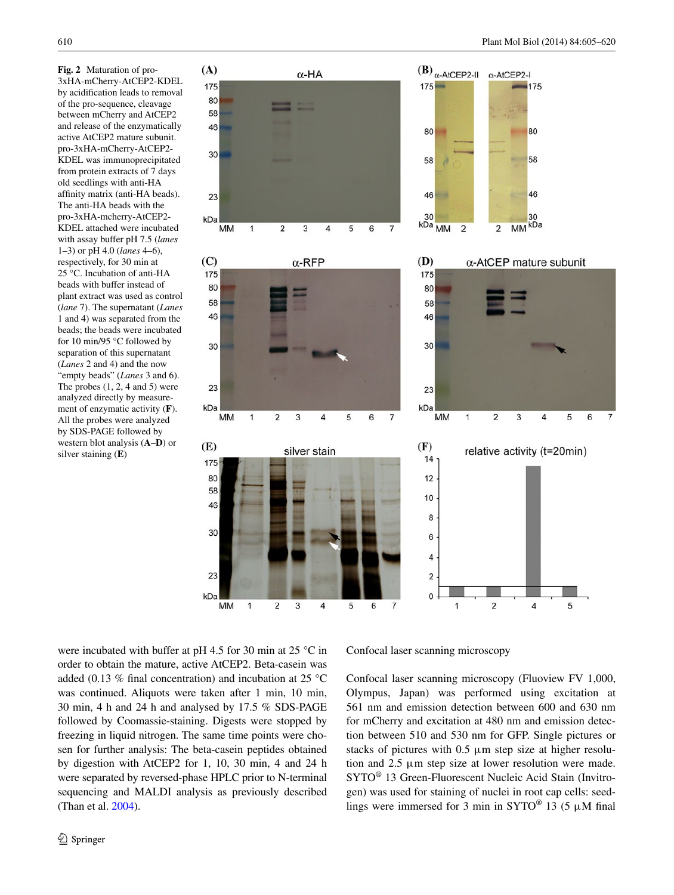<span id="page-5-0"></span>**Fig. 2** Maturation of pro-3xHA-mCherry-AtCEP2-KDEL by acidification leads to removal of the pro-sequence, cleavage between mCherry and AtCEP2 and release of the enzymatically active AtCEP2 mature subunit. pro-3xHA-mCherry-AtCEP2- KDEL was immunoprecipitated from protein extracts of 7 days old seedlings with anti-HA affinity matrix (anti-HA beads). The anti-HA beads with the pro-3xHA-mcherry-AtCEP2- KDEL attached were incubated with assay buffer pH 7.5 (*lanes* 1–3) or pH 4.0 (*lanes* 4–6), respectively, for 30 min at 25 °C. Incubation of anti-HA beads with buffer instead of plant extract was used as control (*lane* 7). The supernatant (*Lanes* 1 and 4) was separated from the beads; the beads were incubated for 10 min/95 °C followed by separation of this supernatant (*Lanes* 2 and 4) and the now "empty beads" (*Lanes* 3 and 6). The probes  $(1, 2, 4 \text{ and } 5)$  were analyzed directly by measurement of enzymatic activity (**F**). All the probes were analyzed by SDS-PAGE followed by western blot analysis (**A**–**D**) or silver staining (**E**)



were incubated with buffer at pH 4.5 for 30 min at 25 °C in order to obtain the mature, active AtCEP2. Beta-casein was added (0.13 % final concentration) and incubation at 25 °C was continued. Aliquots were taken after 1 min, 10 min, 30 min, 4 h and 24 h and analysed by 17.5 % SDS-PAGE followed by Coomassie-staining. Digests were stopped by freezing in liquid nitrogen. The same time points were chosen for further analysis: The beta-casein peptides obtained by digestion with AtCEP2 for 1, 10, 30 min, 4 and 24 h were separated by reversed-phase HPLC prior to N-terminal sequencing and MALDI analysis as previously described (Than et al. [2004](#page-15-17)).

Confocal laser scanning microscopy

Confocal laser scanning microscopy (Fluoview FV 1,000, Olympus, Japan) was performed using excitation at 561 nm and emission detection between 600 and 630 nm for mCherry and excitation at 480 nm and emission detection between 510 and 530 nm for GFP. Single pictures or stacks of pictures with  $0.5 \mu m$  step size at higher resolution and 2.5 μm step size at lower resolution were made. SYTO® 13 Green-Fluorescent Nucleic Acid Stain (Invitrogen) was used for staining of nuclei in root cap cells: seedlings were immersed for 3 min in  $SYTO^{\circledast}$  13 (5  $\mu$ M final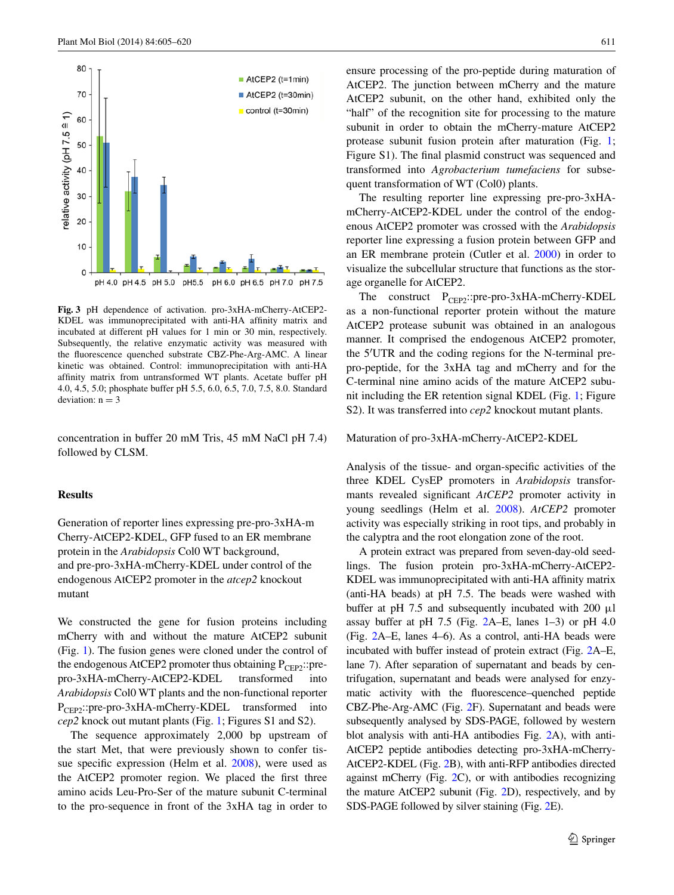

<span id="page-6-0"></span>**Fig. 3** pH dependence of activation. pro-3xHA-mCherry-AtCEP2- KDEL was immunoprecipitated with anti-HA affinity matrix and incubated at different pH values for 1 min or 30 min, respectively. Subsequently, the relative enzymatic activity was measured with the fluorescence quenched substrate CBZ-Phe-Arg-AMC. A linear kinetic was obtained. Control: immunoprecipitation with anti-HA affinity matrix from untransformed WT plants. Acetate buffer pH 4.0, 4.5, 5.0; phosphate buffer pH 5.5, 6.0, 6.5, 7.0, 7.5, 8.0. Standard deviation:  $n = 3$ 

concentration in buffer 20 mM Tris, 45 mM NaCl pH 7.4) followed by CLSM.

## **Results**

Generation of reporter lines expressing pre-pro-3xHA-m Cherry-AtCEP2-KDEL, GFP fused to an ER membrane protein in the *Arabidopsis* Col0 WT background, and pre-pro-3xHA-mCherry-KDEL under control of the endogenous AtCEP2 promoter in the *atcep2* knockout mutant

We constructed the gene for fusion proteins including mCherry with and without the mature AtCEP2 subunit (Fig. [1\)](#page-3-0). The fusion genes were cloned under the control of the endogenous AtCEP2 promoter thus obtaining  $P_{\text{CFP2}}$ ::prepro-3xHA-mCherry-AtCEP2-KDEL transformed into *Arabidopsis* Col0 WT plants and the non-functional reporter P<sub>CEP2</sub>::pre-pro-3xHA-mCherry-KDEL transformed into *cep2* knock out mutant plants (Fig. [1](#page-3-0); Figures S1 and S2).

The sequence approximately 2,000 bp upstream of the start Met, that were previously shown to confer tissue specific expression (Helm et al. [2008\)](#page-15-19), were used as the AtCEP2 promoter region. We placed the first three amino acids Leu-Pro-Ser of the mature subunit C-terminal to the pro-sequence in front of the 3xHA tag in order to ensure processing of the pro-peptide during maturation of AtCEP2. The junction between mCherry and the mature AtCEP2 subunit, on the other hand, exhibited only the "half" of the recognition site for processing to the mature subunit in order to obtain the mCherry-mature AtCEP2 protease subunit fusion protein after maturation (Fig. [1](#page-3-0); Figure S1). The final plasmid construct was sequenced and transformed into *Agrobacterium tumefaciens* for subsequent transformation of WT (Col0) plants.

The resulting reporter line expressing pre-pro-3xHAmCherry-AtCEP2-KDEL under the control of the endogenous AtCEP2 promoter was crossed with the *Arabidopsis* reporter line expressing a fusion protein between GFP and an ER membrane protein (Cutler et al. [2000](#page-14-9)) in order to visualize the subcellular structure that functions as the storage organelle for AtCEP2.

The construct  $P_{CEP2}$ ::pre-pro-3xHA-mCherry-KDEL as a non-functional reporter protein without the mature AtCEP2 protease subunit was obtained in an analogous manner. It comprised the endogenous AtCEP2 promoter, the 5′UTR and the coding regions for the N-terminal prepro-peptide, for the 3xHA tag and mCherry and for the C-terminal nine amino acids of the mature AtCEP2 subunit including the ER retention signal KDEL (Fig. [1;](#page-3-0) Figure S2). It was transferred into *cep2* knockout mutant plants.

#### Maturation of pro-3xHA-mCherry-AtCEP2-KDEL

Analysis of the tissue- and organ-specific activities of the three KDEL CysEP promoters in *Arabidopsis* transformants revealed significant *AtCEP2* promoter activity in young seedlings (Helm et al. [2008](#page-15-19)). *AtCEP2* promoter activity was especially striking in root tips, and probably in the calyptra and the root elongation zone of the root.

A protein extract was prepared from seven-day-old seedlings. The fusion protein pro-3xHA-mCherry-AtCEP2- KDEL was immunoprecipitated with anti-HA affinity matrix (anti-HA beads) at pH 7.5. The beads were washed with buffer at pH 7.5 and subsequently incubated with 200  $\mu$ l assay buffer at pH 7.5 (Fig. [2A](#page-5-0)–E, lanes 1–3) or pH 4.0 (Fig. [2A](#page-5-0)–E, lanes 4–6). As a control, anti-HA beads were incubated with buffer instead of protein extract (Fig. [2A](#page-5-0)–E, lane 7). After separation of supernatant and beads by centrifugation, supernatant and beads were analysed for enzymatic activity with the fluorescence–quenched peptide CBZ-Phe-Arg-AMC (Fig. [2F](#page-5-0)). Supernatant and beads were subsequently analysed by SDS-PAGE, followed by western blot analysis with anti-HA antibodies Fig. [2A](#page-5-0)), with anti-AtCEP2 peptide antibodies detecting pro-3xHA-mCherry-AtCEP2-KDEL (Fig. [2](#page-5-0)B), with anti-RFP antibodies directed against mCherry (Fig. [2](#page-5-0)C), or with antibodies recognizing the mature AtCEP2 subunit (Fig. [2D](#page-5-0)), respectively, and by SDS-PAGE followed by silver staining (Fig. [2](#page-5-0)E).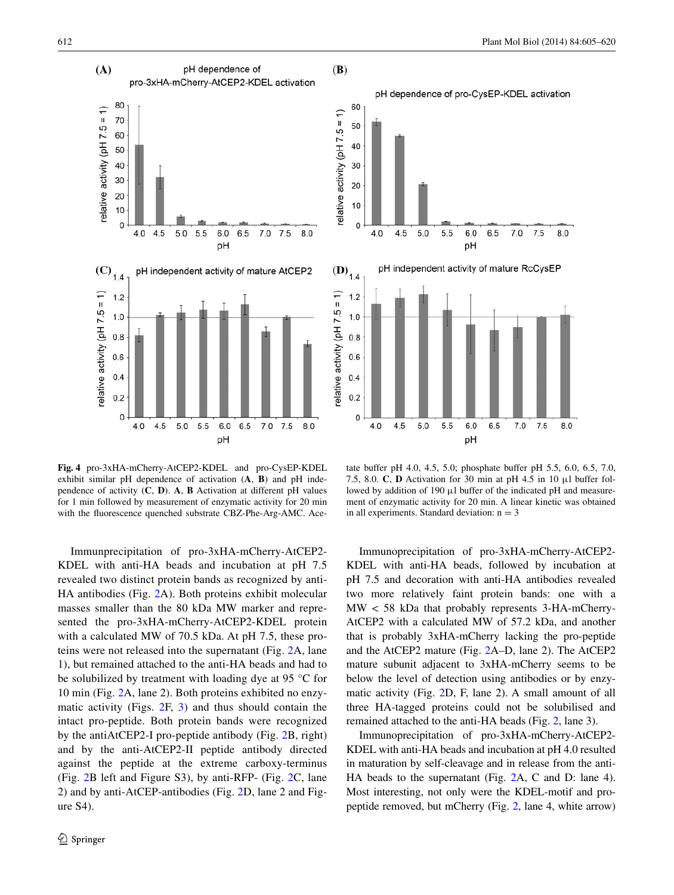

<span id="page-7-0"></span>**Fig. 4** pro-3xHA-mCherry-AtCEP2-KDEL and pro-CysEP-KDEL exhibit similar pH dependence of activation (**A**, **B**) and pH independence of activity (**C**, **D**). **A**, **B** Activation at different pH values for 1 min followed by measurement of enzymatic activity for 20 min with the fluorescence quenched substrate CBZ-Phe-Arg-AMC. Ace-

Immunprecipitation of pro-3xHA-mCherry-AtCEP2- KDEL with anti-HA beads and incubation at pH 7.5 revealed two distinct protein bands as recognized by anti-HA antibodies (Fig. [2A](#page-5-0)). Both proteins exhibit molecular masses smaller than the 80 kDa MW marker and represented the pro-3xHA-mCherry-AtCEP2-KDEL protein with a calculated MW of 70.5 kDa. At pH 7.5, these proteins were not released into the supernatant (Fig. [2](#page-5-0)A, lane 1), but remained attached to the anti-HA beads and had to be solubilized by treatment with loading dye at 95 °C for 10 min (Fig. [2A](#page-5-0), lane 2). Both proteins exhibited no enzymatic activity (Figs. [2F](#page-5-0), [3\)](#page-6-0) and thus should contain the intact pro-peptide. Both protein bands were recognized by the antiAtCEP2-I pro-peptide antibody (Fig. [2](#page-5-0)B, right) and by the anti-AtCEP2-II peptide antibody directed against the peptide at the extreme carboxy-terminus (Fig. [2](#page-5-0)B left and Figure S3), by anti-RFP- (Fig. [2C](#page-5-0), lane 2) and by anti-AtCEP-antibodies (Fig. [2](#page-5-0)D, lane 2 and Figure S4).



(B)

tate buffer pH 4.0, 4.5, 5.0; phosphate buffer pH 5.5, 6.0, 6.5, 7.0, 7.5, 8.0. **C**, **D** Activation for 30 min at pH 4.5 in 10 μl buffer followed by addition of 190 μl buffer of the indicated pH and measurement of enzymatic activity for 20 min. A linear kinetic was obtained in all experiments. Standard deviation:  $n = 3$ 

Immunoprecipitation of pro-3xHA-mCherry-AtCEP2- KDEL with anti-HA beads, followed by incubation at pH 7.5 and decoration with anti-HA antibodies revealed two more relatively faint protein bands: one with a MW < 58 kDa that probably represents 3-HA-mCherry-AtCEP2 with a calculated MW of 57.2 kDa, and another that is probably 3xHA-mCherry lacking the pro-peptide and the AtCEP2 mature (Fig. [2A](#page-5-0)–D, lane 2). The AtCEP2 mature subunit adjacent to 3xHA-mCherry seems to be below the level of detection using antibodies or by enzymatic activity (Fig. [2](#page-5-0)D, F, lane 2). A small amount of all three HA-tagged proteins could not be solubilised and remained attached to the anti-HA beads (Fig. [2,](#page-5-0) lane 3).

Immunoprecipitation of pro-3xHA-mCherry-AtCEP2- KDEL with anti-HA beads and incubation at pH 4.0 resulted in maturation by self-cleavage and in release from the anti-HA beads to the supernatant (Fig. [2](#page-5-0)A, C and D: lane 4). Most interesting, not only were the KDEL-motif and propeptide removed, but mCherry (Fig. [2](#page-5-0), lane 4, white arrow)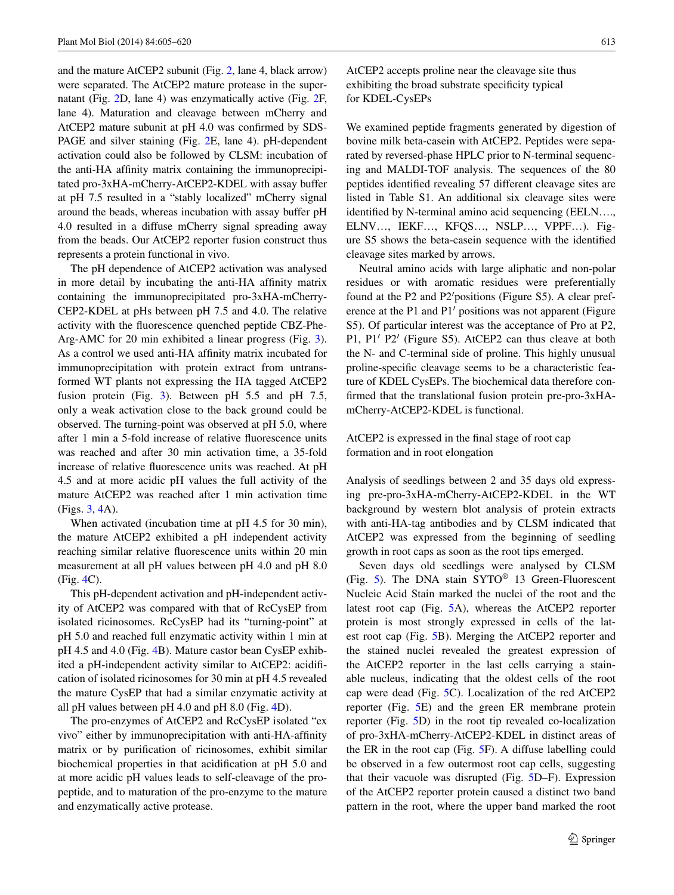and the mature AtCEP2 subunit (Fig. [2](#page-5-0), lane 4, black arrow) were separated. The AtCEP2 mature protease in the supernatant (Fig. [2D](#page-5-0), lane 4) was enzymatically active (Fig. [2F](#page-5-0), lane 4). Maturation and cleavage between mCherry and AtCEP2 mature subunit at pH 4.0 was confirmed by SDS-PAGE and silver staining (Fig. [2E](#page-5-0), lane 4). pH-dependent activation could also be followed by CLSM: incubation of the anti-HA affinity matrix containing the immunoprecipitated pro-3xHA-mCherry-AtCEP2-KDEL with assay buffer at pH 7.5 resulted in a "stably localized" mCherry signal around the beads, whereas incubation with assay buffer pH 4.0 resulted in a diffuse mCherry signal spreading away from the beads. Our AtCEP2 reporter fusion construct thus represents a protein functional in vivo.

The pH dependence of AtCEP2 activation was analysed in more detail by incubating the anti-HA affinity matrix containing the immunoprecipitated pro-3xHA-mCherry-CEP2-KDEL at pHs between pH 7.5 and 4.0. The relative activity with the fluorescence quenched peptide CBZ-Phe-Arg-AMC for 20 min exhibited a linear progress (Fig. [3](#page-6-0)). As a control we used anti-HA affinity matrix incubated for immunoprecipitation with protein extract from untransformed WT plants not expressing the HA tagged AtCEP2 fusion protein (Fig. [3](#page-6-0)). Between pH 5.5 and pH 7.5, only a weak activation close to the back ground could be observed. The turning-point was observed at pH 5.0, where after 1 min a 5-fold increase of relative fluorescence units was reached and after 30 min activation time, a 35-fold increase of relative fluorescence units was reached. At pH 4.5 and at more acidic pH values the full activity of the mature AtCEP2 was reached after 1 min activation time (Figs. [3,](#page-6-0) [4A](#page-7-0)).

When activated (incubation time at pH 4.5 for 30 min), the mature AtCEP2 exhibited a pH independent activity reaching similar relative fluorescence units within 20 min measurement at all pH values between pH 4.0 and pH 8.0 (Fig. [4C](#page-7-0)).

This pH-dependent activation and pH-independent activity of AtCEP2 was compared with that of RcCysEP from isolated ricinosomes. RcCysEP had its "turning-point" at pH 5.0 and reached full enzymatic activity within 1 min at pH 4.5 and 4.0 (Fig. [4B](#page-7-0)). Mature castor bean CysEP exhibited a pH-independent activity similar to AtCEP2: acidification of isolated ricinosomes for 30 min at pH 4.5 revealed the mature CysEP that had a similar enzymatic activity at all pH values between pH 4.0 and pH 8.0 (Fig. [4D](#page-7-0)).

The pro-enzymes of AtCEP2 and RcCysEP isolated "ex vivo" either by immunoprecipitation with anti-HA-affinity matrix or by purification of ricinosomes, exhibit similar biochemical properties in that acidification at pH 5.0 and at more acidic pH values leads to self-cleavage of the propeptide, and to maturation of the pro-enzyme to the mature and enzymatically active protease.

AtCEP2 accepts proline near the cleavage site thus exhibiting the broad substrate specificity typical for KDEL-CysEPs

We examined peptide fragments generated by digestion of bovine milk beta-casein with AtCEP2. Peptides were separated by reversed-phase HPLC prior to N-terminal sequencing and MALDI-TOF analysis. The sequences of the 80 peptides identified revealing 57 different cleavage sites are listed in Table S1. An additional six cleavage sites were identified by N-terminal amino acid sequencing (EELN…., ELNV…, IEKF…, KFQS…, NSLP…, VPPF…). Figure S5 shows the beta-casein sequence with the identified cleavage sites marked by arrows.

Neutral amino acids with large aliphatic and non-polar residues or with aromatic residues were preferentially found at the P2 and P2′positions (Figure S5). A clear preference at the P1 and P1′ positions was not apparent (Figure S5). Of particular interest was the acceptance of Pro at P2, P1, P1′ P2′ (Figure S5). AtCEP2 can thus cleave at both the N- and C-terminal side of proline. This highly unusual proline-specific cleavage seems to be a characteristic feature of KDEL CysEPs. The biochemical data therefore confirmed that the translational fusion protein pre-pro-3xHAmCherry-AtCEP2-KDEL is functional.

# AtCEP2 is expressed in the final stage of root cap formation and in root elongation

Analysis of seedlings between 2 and 35 days old expressing pre-pro-3xHA-mCherry-AtCEP2-KDEL in the WT background by western blot analysis of protein extracts with anti-HA-tag antibodies and by CLSM indicated that AtCEP2 was expressed from the beginning of seedling growth in root caps as soon as the root tips emerged.

Seven days old seedlings were analysed by CLSM (Fig. [5\)](#page-9-0). The DNA stain SYTO® 13 Green-Fluorescent Nucleic Acid Stain marked the nuclei of the root and the latest root cap (Fig. [5A](#page-9-0)), whereas the AtCEP2 reporter protein is most strongly expressed in cells of the latest root cap (Fig. [5B](#page-9-0)). Merging the AtCEP2 reporter and the stained nuclei revealed the greatest expression of the AtCEP2 reporter in the last cells carrying a stainable nucleus, indicating that the oldest cells of the root cap were dead (Fig. [5](#page-9-0)C). Localization of the red AtCEP2 reporter (Fig. [5](#page-9-0)E) and the green ER membrane protein reporter (Fig. [5D](#page-9-0)) in the root tip revealed co-localization of pro-3xHA-mCherry-AtCEP2-KDEL in distinct areas of the ER in the root cap (Fig. [5](#page-9-0)F). A diffuse labelling could be observed in a few outermost root cap cells, suggesting that their vacuole was disrupted (Fig. [5](#page-9-0)D–F). Expression of the AtCEP2 reporter protein caused a distinct two band pattern in the root, where the upper band marked the root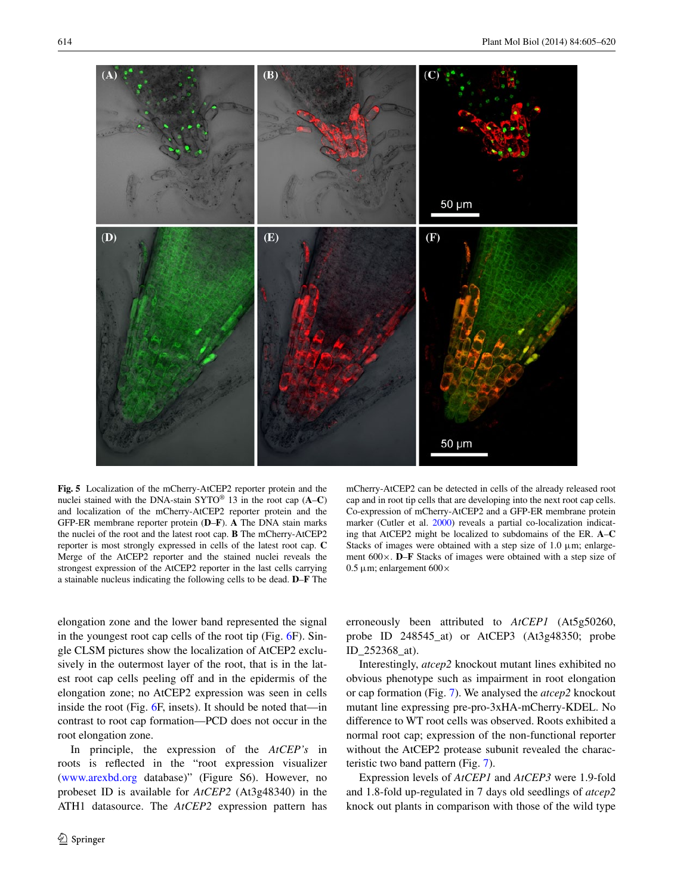

<span id="page-9-0"></span>**Fig. 5** Localization of the mCherry-AtCEP2 reporter protein and the nuclei stained with the DNA-stain SYTO® 13 in the root cap (**A**–**C**) and localization of the mCherry-AtCEP2 reporter protein and the GFP-ER membrane reporter protein (**D**–**F**). **A** The DNA stain marks the nuclei of the root and the latest root cap. **B** The mCherry-AtCEP2 reporter is most strongly expressed in cells of the latest root cap. **C** Merge of the AtCEP2 reporter and the stained nuclei reveals the strongest expression of the AtCEP2 reporter in the last cells carrying a stainable nucleus indicating the following cells to be dead. **D**–**F** The

mCherry-AtCEP2 can be detected in cells of the already released root cap and in root tip cells that are developing into the next root cap cells. Co-expression of mCherry-AtCEP2 and a GFP-ER membrane protein marker (Cutler et al. [2000](#page-14-9)) reveals a partial co-localization indicating that AtCEP2 might be localized to subdomains of the ER. **A**–**C** Stacks of images were obtained with a step size of  $1.0 \mu m$ ; enlargement 600×. **D**–**F** Stacks of images were obtained with a step size of 0.5 μm; enlargement 600 $\times$ 

elongation zone and the lower band represented the signal in the youngest root cap cells of the root tip (Fig. [6](#page-12-0)F). Single CLSM pictures show the localization of AtCEP2 exclusively in the outermost layer of the root, that is in the latest root cap cells peeling off and in the epidermis of the elongation zone; no AtCEP2 expression was seen in cells inside the root (Fig. [6F](#page-12-0), insets). It should be noted that—in contrast to root cap formation—PCD does not occur in the root elongation zone.

In principle, the expression of the *AtCEP's* in roots is reflected in the "root expression visualizer [\(www.arexbd.org](http://www.arexbd.org) database)" (Figure S6). However, no probeset ID is available for *AtCEP2* (At3g48340) in the ATH1 datasource. The *AtCEP2* expression pattern has

erroneously been attributed to *AtCEP1* (At5g50260, probe ID 248545\_at) or AtCEP3 (At3g48350; probe ID\_252368\_at).

Interestingly, *atcep2* knockout mutant lines exhibited no obvious phenotype such as impairment in root elongation or cap formation (Fig. [7](#page-12-1)). We analysed the *atcep2* knockout mutant line expressing pre-pro-3xHA-mCherry-KDEL. No difference to WT root cells was observed. Roots exhibited a normal root cap; expression of the non-functional reporter without the AtCEP2 protease subunit revealed the characteristic two band pattern (Fig. [7](#page-12-1)).

Expression levels of *AtCEP1* and *AtCEP3* were 1.9-fold and 1.8-fold up-regulated in 7 days old seedlings of *atcep2* knock out plants in comparison with those of the wild type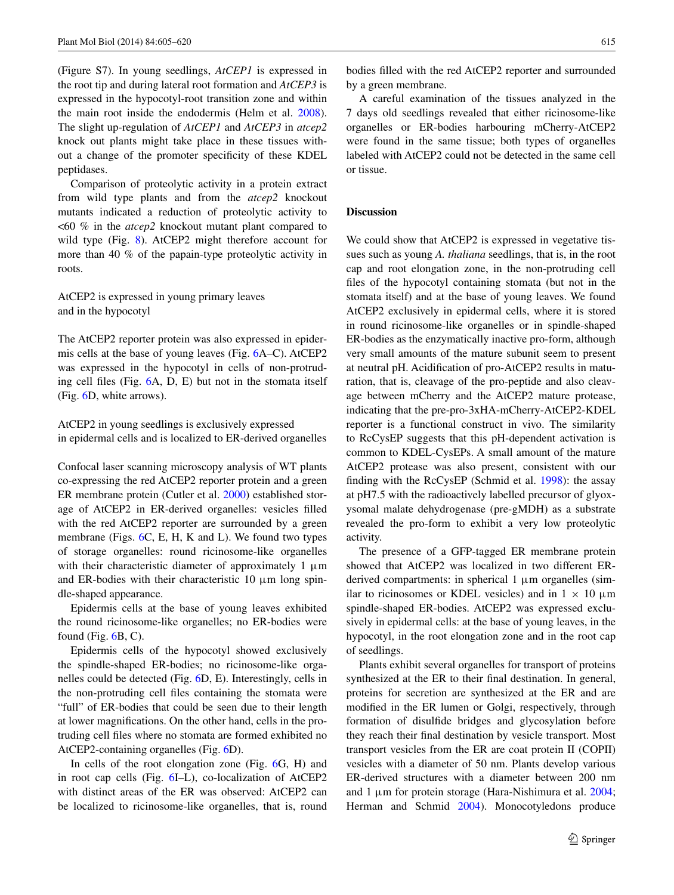(Figure S7). In young seedlings, *AtCEP1* is expressed in the root tip and during lateral root formation and *AtCEP3* is expressed in the hypocotyl-root transition zone and within the main root inside the endodermis (Helm et al. [2008](#page-15-19)). The slight up-regulation of *AtCEP1* and *AtCEP3* in *atcep2* knock out plants might take place in these tissues without a change of the promoter specificity of these KDEL peptidases.

Comparison of proteolytic activity in a protein extract from wild type plants and from the *atcep2* knockout mutants indicated a reduction of proteolytic activity to <60 % in the *atcep2* knockout mutant plant compared to wild type (Fig. [8](#page-12-2)). AtCEP2 might therefore account for more than 40 % of the papain-type proteolytic activity in roots.

AtCEP2 is expressed in young primary leaves and in the hypocotyl

The AtCEP2 reporter protein was also expressed in epidermis cells at the base of young leaves (Fig. [6A](#page-12-0)–C). AtCEP2 was expressed in the hypocotyl in cells of non-protruding cell files (Fig. [6A](#page-12-0), D, E) but not in the stomata itself (Fig. [6D](#page-12-0), white arrows).

AtCEP2 in young seedlings is exclusively expressed in epidermal cells and is localized to ER-derived organelles

Confocal laser scanning microscopy analysis of WT plants co-expressing the red AtCEP2 reporter protein and a green ER membrane protein (Cutler et al. [2000](#page-14-9)) established storage of AtCEP2 in ER-derived organelles: vesicles filled with the red AtCEP2 reporter are surrounded by a green membrane (Figs. [6C](#page-12-0), E, H, K and L). We found two types of storage organelles: round ricinosome-like organelles with their characteristic diameter of approximately 1  $\mu$ m and ER-bodies with their characteristic  $10 \mu m$  long spindle-shaped appearance.

Epidermis cells at the base of young leaves exhibited the round ricinosome-like organelles; no ER-bodies were found (Fig.  $6B$ , C).

Epidermis cells of the hypocotyl showed exclusively the spindle-shaped ER-bodies; no ricinosome-like organelles could be detected (Fig. [6D](#page-12-0), E). Interestingly, cells in the non-protruding cell files containing the stomata were "full" of ER-bodies that could be seen due to their length at lower magnifications. On the other hand, cells in the protruding cell files where no stomata are formed exhibited no AtCEP2-containing organelles (Fig. [6](#page-12-0)D).

In cells of the root elongation zone (Fig. [6G](#page-12-0), H) and in root cap cells (Fig. [6](#page-12-0)I–L), co-localization of AtCEP2 with distinct areas of the ER was observed: AtCEP2 can be localized to ricinosome-like organelles, that is, round bodies filled with the red AtCEP2 reporter and surrounded by a green membrane.

A careful examination of the tissues analyzed in the 7 days old seedlings revealed that either ricinosome-like organelles or ER-bodies harbouring mCherry-AtCEP2 were found in the same tissue; both types of organelles labeled with AtCEP2 could not be detected in the same cell or tissue.

#### **Discussion**

We could show that AtCEP2 is expressed in vegetative tissues such as young *A. thaliana* seedlings, that is, in the root cap and root elongation zone, in the non-protruding cell files of the hypocotyl containing stomata (but not in the stomata itself) and at the base of young leaves. We found AtCEP2 exclusively in epidermal cells, where it is stored in round ricinosome-like organelles or in spindle-shaped ER-bodies as the enzymatically inactive pro-form, although very small amounts of the mature subunit seem to present at neutral pH. Acidification of pro-AtCEP2 results in maturation, that is, cleavage of the pro-peptide and also cleavage between mCherry and the AtCEP2 mature protease, indicating that the pre-pro-3xHA-mCherry-AtCEP2-KDEL reporter is a functional construct in vivo. The similarity to RcCysEP suggests that this pH-dependent activation is common to KDEL-CysEPs. A small amount of the mature AtCEP2 protease was also present, consistent with our finding with the RcCysEP (Schmid et al. [1998](#page-15-7)): the assay at pH7.5 with the radioactively labelled precursor of glyoxysomal malate dehydrogenase (pre-gMDH) as a substrate revealed the pro-form to exhibit a very low proteolytic activity.

The presence of a GFP-tagged ER membrane protein showed that AtCEP2 was localized in two different ERderived compartments: in spherical 1 μm organelles (similar to ricinosomes or KDEL vesicles) and in  $1 \times 10 \mu$ m spindle-shaped ER-bodies. AtCEP2 was expressed exclusively in epidermal cells: at the base of young leaves, in the hypocotyl, in the root elongation zone and in the root cap of seedlings.

Plants exhibit several organelles for transport of proteins synthesized at the ER to their final destination. In general, proteins for secretion are synthesized at the ER and are modified in the ER lumen or Golgi, respectively, through formation of disulfide bridges and glycosylation before they reach their final destination by vesicle transport. Most transport vesicles from the ER are coat protein II (COPII) vesicles with a diameter of 50 nm. Plants develop various ER-derived structures with a diameter between 200 nm and 1 μm for protein storage (Hara-Nishimura et al. [2004](#page-15-22); Herman and Schmid [2004\)](#page-15-23). Monocotyledons produce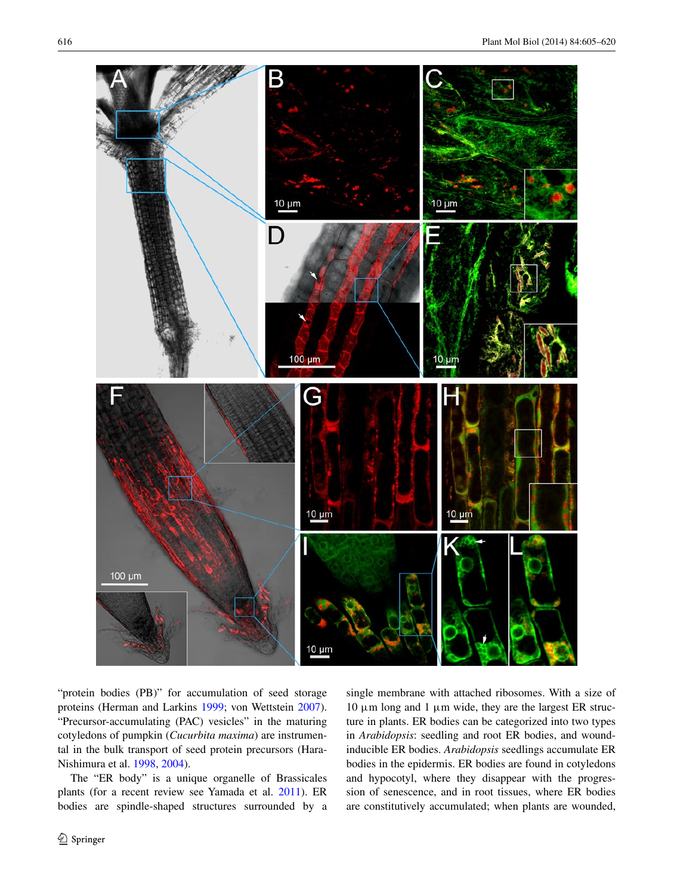

"protein bodies (PB)" for accumulation of seed storage proteins (Herman and Larkins [1999;](#page-15-24) von Wettstein [2007](#page-15-25)). "Precursor-accumulating (PAC) vesicles" in the maturing cotyledons of pumpkin (*Cucurbita maxima*) are instrumental in the bulk transport of seed protein precursors (Hara-Nishimura et al. [1998,](#page-15-26) [2004\)](#page-15-22).

The "ER body" is a unique organelle of Brassicales plants (for a recent review see Yamada et al. [2011](#page-15-27)). ER bodies are spindle-shaped structures surrounded by a

<sup>2</sup> Springer

single membrane with attached ribosomes. With a size of 10 μm long and 1 μm wide, they are the largest ER structure in plants. ER bodies can be categorized into two types in *Arabidopsis*: seedling and root ER bodies, and woundinducible ER bodies. *Arabidopsis* seedlings accumulate ER bodies in the epidermis. ER bodies are found in cotyledons and hypocotyl, where they disappear with the progression of senescence, and in root tissues, where ER bodies are constitutively accumulated; when plants are wounded,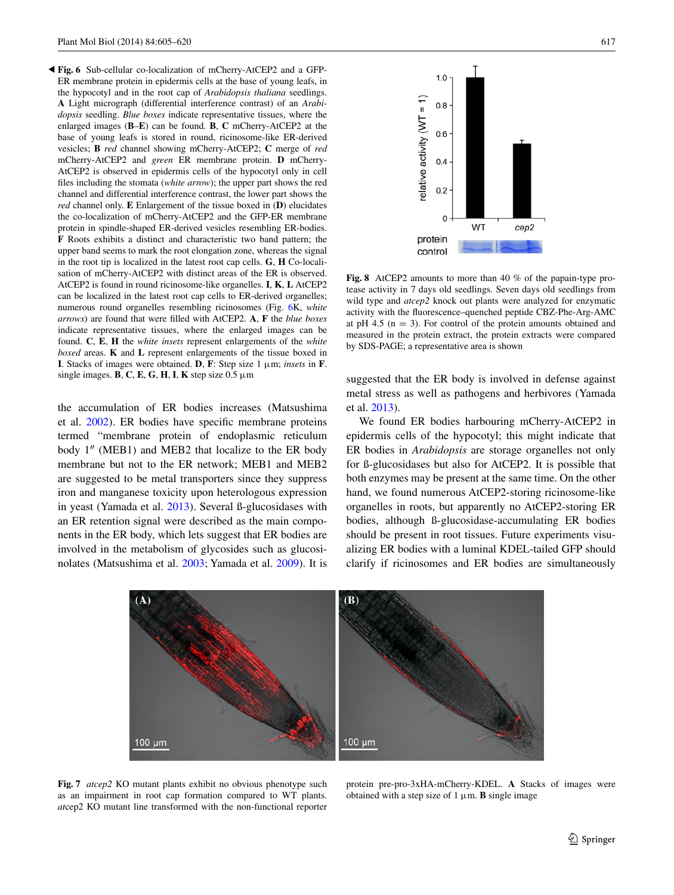<span id="page-12-0"></span>**Fig. 6** Sub-cellular co-localization of mCherry-AtCEP2 and a GFP-◂ER membrane protein in epidermis cells at the base of young leafs, in the hypocotyl and in the root cap of *Arabidopsis thaliana* seedlings. **A** Light micrograph (differential interference contrast) of an *Arabidopsis* seedling. *Blue boxes* indicate representative tissues, where the enlarged images (**B**–**E**) can be found. **B**, **C** mCherry-AtCEP2 at the base of young leafs is stored in round, ricinosome-like ER-derived vesicles; **B** *red* channel showing mCherry-AtCEP2; **C** merge of *red* mCherry-AtCEP2 and *green* ER membrane protein. **D** mCherry-AtCEP2 is observed in epidermis cells of the hypocotyl only in cell files including the stomata (*white arrow*); the upper part shows the red channel and differential interference contrast, the lower part shows the *red* channel only. **E** Enlargement of the tissue boxed in (**D**) elucidates the co-localization of mCherry-AtCEP2 and the GFP-ER membrane protein in spindle-shaped ER-derived vesicles resembling ER-bodies. **F** Roots exhibits a distinct and characteristic two band pattern; the upper band seems to mark the root elongation zone, whereas the signal in the root tip is localized in the latest root cap cells. **G**, **H** Co-localisation of mCherry-AtCEP2 with distinct areas of the ER is observed. AtCEP2 is found in round ricinosome-like organelles. **I**, **K**, **L** AtCEP2 can be localized in the latest root cap cells to ER-derived organelles; numerous round organelles resembling ricinosomes (Fig. [6K](#page-12-0), *white arrows*) are found that were filled with AtCEP2. **A**, **F** the *blue boxes* indicate representative tissues, where the enlarged images can be found. **C**, **E**, **H** the *white insets* represent enlargements of the *white boxed* areas. **K** and **L** represent enlargements of the tissue boxed in **I**. Stacks of images were obtained. **D**, **F**: Step size 1 μm; *insets* in **F**. single images. **B**, **C**, **E**, **G**, **H**, **I**, **K** step size 0.5 μm

the accumulation of ER bodies increases (Matsushima et al. [2002](#page-15-28)). ER bodies have specific membrane proteins termed "membrane protein of endoplasmic reticulum body 1″ (MEB1) and MEB2 that localize to the ER body membrane but not to the ER network; MEB1 and MEB2 are suggested to be metal transporters since they suppress iron and manganese toxicity upon heterologous expression in yeast (Yamada et al. [2013\)](#page-15-29). Several ß-glucosidases with an ER retention signal were described as the main components in the ER body, which lets suggest that ER bodies are involved in the metabolism of glycosides such as glucosinolates (Matsushima et al. [2003;](#page-15-30) Yamada et al. [2009](#page-15-31)). It is



<span id="page-12-2"></span>**Fig. 8** AtCEP2 amounts to more than 40 % of the papain-type protease activity in 7 days old seedlings. Seven days old seedlings from wild type and *atcep2* knock out plants were analyzed for enzymatic activity with the fluorescence–quenched peptide CBZ-Phe-Arg-AMC at pH 4.5 ( $n = 3$ ). For control of the protein amounts obtained and measured in the protein extract, the protein extracts were compared by SDS-PAGE; a representative area is shown

suggested that the ER body is involved in defense against metal stress as well as pathogens and herbivores (Yamada et al. [2013](#page-15-29)).

We found ER bodies harbouring mCherry-AtCEP2 in epidermis cells of the hypocotyl; this might indicate that ER bodies in *Arabidopsis* are storage organelles not only for ß-glucosidases but also for AtCEP2. It is possible that both enzymes may be present at the same time. On the other hand, we found numerous AtCEP2-storing ricinosome-like organelles in roots, but apparently no AtCEP2-storing ER bodies, although ß-glucosidase-accumulating ER bodies should be present in root tissues. Future experiments visualizing ER bodies with a luminal KDEL-tailed GFP should clarify if ricinosomes and ER bodies are simultaneously



<span id="page-12-1"></span>**Fig. 7** *atcep2* KO mutant plants exhibit no obvious phenotype such as an impairment in root cap formation compared to WT plants. *at*cep2 KO mutant line transformed with the non-functional reporter

protein pre-pro-3xHA-mCherry-KDEL. **A** Stacks of images were obtained with a step size of  $1 \mu$ m. **B** single image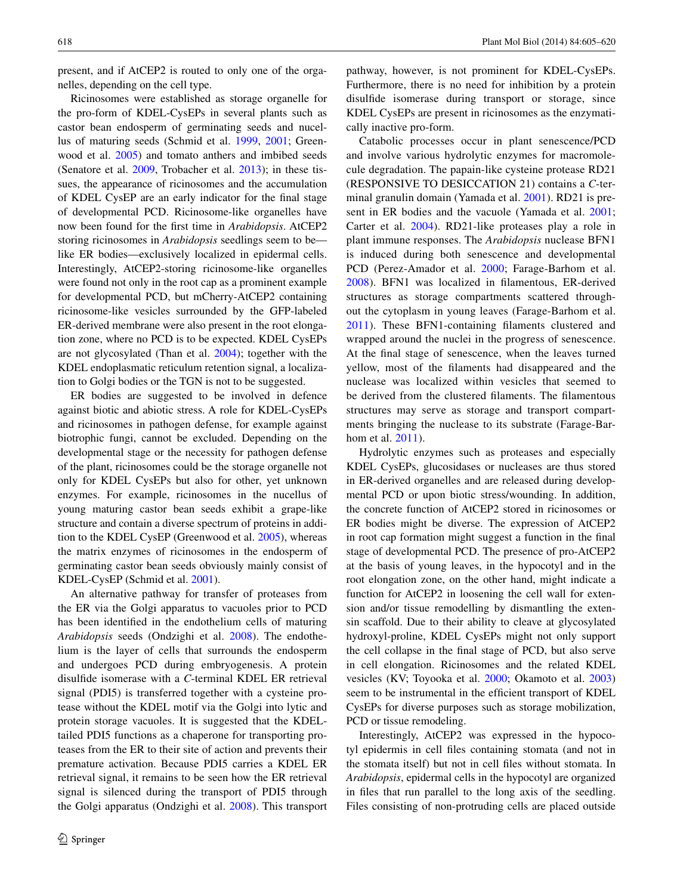present, and if AtCEP2 is routed to only one of the organelles, depending on the cell type.

Ricinosomes were established as storage organelle for the pro-form of KDEL-CysEPs in several plants such as castor bean endosperm of germinating seeds and nucellus of maturing seeds (Schmid et al. [1999,](#page-15-11) [2001;](#page-15-12) Greenwood et al. [2005\)](#page-14-4) and tomato anthers and imbibed seeds (Senatore et al. [2009,](#page-15-13) Trobacher et al. [2013](#page-15-14)); in these tissues, the appearance of ricinosomes and the accumulation of KDEL CysEP are an early indicator for the final stage of developmental PCD. Ricinosome-like organelles have now been found for the first time in *Arabidopsis*. AtCEP2 storing ricinosomes in *Arabidopsis* seedlings seem to be like ER bodies—exclusively localized in epidermal cells. Interestingly, AtCEP2-storing ricinosome-like organelles were found not only in the root cap as a prominent example for developmental PCD, but mCherry-AtCEP2 containing ricinosome-like vesicles surrounded by the GFP-labeled ER-derived membrane were also present in the root elongation zone, where no PCD is to be expected. KDEL CysEPs are not glycosylated (Than et al. [2004](#page-15-17)); together with the KDEL endoplasmatic reticulum retention signal, a localization to Golgi bodies or the TGN is not to be suggested.

ER bodies are suggested to be involved in defence against biotic and abiotic stress. A role for KDEL-CysEPs and ricinosomes in pathogen defense, for example against biotrophic fungi, cannot be excluded. Depending on the developmental stage or the necessity for pathogen defense of the plant, ricinosomes could be the storage organelle not only for KDEL CysEPs but also for other, yet unknown enzymes. For example, ricinosomes in the nucellus of young maturing castor bean seeds exhibit a grape-like structure and contain a diverse spectrum of proteins in addition to the KDEL CysEP (Greenwood et al. [2005\)](#page-14-4), whereas the matrix enzymes of ricinosomes in the endosperm of germinating castor bean seeds obviously mainly consist of KDEL-CysEP (Schmid et al. [2001](#page-15-12)).

An alternative pathway for transfer of proteases from the ER via the Golgi apparatus to vacuoles prior to PCD has been identified in the endothelium cells of maturing *Arabidopsis* seeds (Ondzighi et al. [2008](#page-15-32)). The endothelium is the layer of cells that surrounds the endosperm and undergoes PCD during embryogenesis. A protein disulfide isomerase with a *C*-terminal KDEL ER retrieval signal (PDI5) is transferred together with a cysteine protease without the KDEL motif via the Golgi into lytic and protein storage vacuoles. It is suggested that the KDELtailed PDI5 functions as a chaperone for transporting proteases from the ER to their site of action and prevents their premature activation. Because PDI5 carries a KDEL ER retrieval signal, it remains to be seen how the ER retrieval signal is silenced during the transport of PDI5 through the Golgi apparatus (Ondzighi et al. [2008\)](#page-15-32). This transport

pathway, however, is not prominent for KDEL-CysEPs. Furthermore, there is no need for inhibition by a protein disulfide isomerase during transport or storage, since KDEL CysEPs are present in ricinosomes as the enzymatically inactive pro-form.

Catabolic processes occur in plant senescence/PCD and involve various hydrolytic enzymes for macromolecule degradation. The papain-like cysteine protease RD21 (RESPONSIVE TO DESICCATION 21) contains a *C*-terminal granulin domain (Yamada et al. [2001](#page-15-33)). RD21 is present in ER bodies and the vacuole (Yamada et al. [2001](#page-15-33); Carter et al. [2004](#page-14-13)). RD21-like proteases play a role in plant immune responses. The *Arabidopsis* nuclease BFN1 is induced during both senescence and developmental PCD (Perez-Amador et al. [2000;](#page-15-34) Farage-Barhom et al. [2008\)](#page-14-14). BFN1 was localized in filamentous, ER-derived structures as storage compartments scattered throughout the cytoplasm in young leaves (Farage-Barhom et al. [2011\)](#page-14-15). These BFN1-containing filaments clustered and wrapped around the nuclei in the progress of senescence. At the final stage of senescence, when the leaves turned yellow, most of the filaments had disappeared and the nuclease was localized within vesicles that seemed to be derived from the clustered filaments. The filamentous structures may serve as storage and transport compartments bringing the nuclease to its substrate (Farage-Barhom et al. [2011\)](#page-14-15).

Hydrolytic enzymes such as proteases and especially KDEL CysEPs, glucosidases or nucleases are thus stored in ER-derived organelles and are released during developmental PCD or upon biotic stress/wounding. In addition, the concrete function of AtCEP2 stored in ricinosomes or ER bodies might be diverse. The expression of AtCEP2 in root cap formation might suggest a function in the final stage of developmental PCD. The presence of pro-AtCEP2 at the basis of young leaves, in the hypocotyl and in the root elongation zone, on the other hand, might indicate a function for AtCEP2 in loosening the cell wall for extension and/or tissue remodelling by dismantling the extensin scaffold. Due to their ability to cleave at glycosylated hydroxyl-proline, KDEL CysEPs might not only support the cell collapse in the final stage of PCD, but also serve in cell elongation. Ricinosomes and the related KDEL vesicles (KV; Toyooka et al. [2000](#page-15-15); Okamoto et al. [2003\)](#page-15-16) seem to be instrumental in the efficient transport of KDEL CysEPs for diverse purposes such as storage mobilization, PCD or tissue remodeling.

Interestingly, AtCEP2 was expressed in the hypocotyl epidermis in cell files containing stomata (and not in the stomata itself) but not in cell files without stomata. In *Arabidopsis*, epidermal cells in the hypocotyl are organized in files that run parallel to the long axis of the seedling. Files consisting of non-protruding cells are placed outside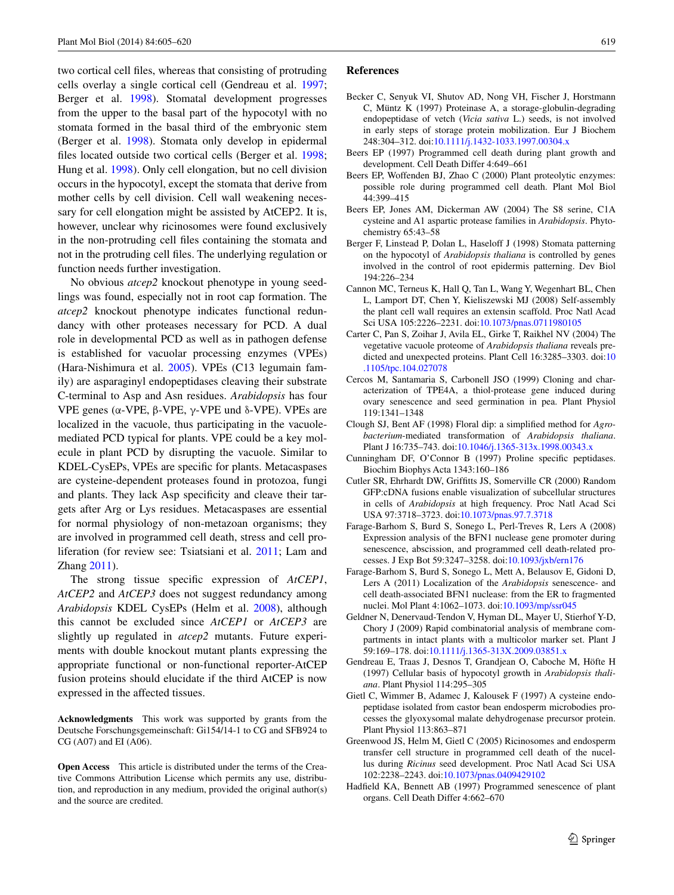two cortical cell files, whereas that consisting of protruding cells overlay a single cortical cell (Gendreau et al. [1997](#page-14-16); Berger et al. [1998\)](#page-14-17). Stomatal development progresses from the upper to the basal part of the hypocotyl with no stomata formed in the basal third of the embryonic stem (Berger et al. [1998\)](#page-14-17). Stomata only develop in epidermal files located outside two cortical cells (Berger et al. [1998](#page-14-17); Hung et al. [1998\)](#page-15-35). Only cell elongation, but no cell division occurs in the hypocotyl, except the stomata that derive from mother cells by cell division. Cell wall weakening necessary for cell elongation might be assisted by AtCEP2. It is, however, unclear why ricinosomes were found exclusively in the non-protruding cell files containing the stomata and not in the protruding cell files. The underlying regulation or function needs further investigation.

No obvious *atcep2* knockout phenotype in young seedlings was found, especially not in root cap formation. The *atcep2* knockout phenotype indicates functional redundancy with other proteases necessary for PCD. A dual role in developmental PCD as well as in pathogen defense is established for vacuolar processing enzymes (VPEs) (Hara-Nishimura et al. [2005\)](#page-15-36). VPEs (C13 legumain family) are asparaginyl endopeptidases cleaving their substrate C-terminal to Asp and Asn residues. *Arabidopsis* has four VPE genes ( $\alpha$ -VPE,  $\beta$ -VPE,  $\gamma$ -VPE und  $\delta$ -VPE). VPEs are localized in the vacuole, thus participating in the vacuolemediated PCD typical for plants. VPE could be a key molecule in plant PCD by disrupting the vacuole. Similar to KDEL-CysEPs, VPEs are specific for plants. Metacaspases are cysteine-dependent proteases found in protozoa, fungi and plants. They lack Asp specificity and cleave their targets after Arg or Lys residues. Metacaspases are essential for normal physiology of non-metazoan organisms; they are involved in programmed cell death, stress and cell proliferation (for review see: Tsiatsiani et al. [2011](#page-15-3); Lam and Zhang [2011](#page-15-37)).

The strong tissue specific expression of *AtCEP1*, *AtCEP2* and *AtCEP3* does not suggest redundancy among *Arabidopsis* KDEL CysEPs (Helm et al. [2008](#page-15-19)), although this cannot be excluded since *AtCEP1* or *AtCEP3* are slightly up regulated in *atcep2* mutants. Future experiments with double knockout mutant plants expressing the appropriate functional or non-functional reporter-AtCEP fusion proteins should elucidate if the third AtCEP is now expressed in the affected tissues.

**Acknowledgments** This work was supported by grants from the Deutsche Forschungsgemeinschaft: Gi154/14-1 to CG and SFB924 to CG (A07) and EI (A06).

**Open Access** This article is distributed under the terms of the Creative Commons Attribution License which permits any use, distribution, and reproduction in any medium, provided the original author(s) and the source are credited.

#### **References**

- <span id="page-14-5"></span>Becker C, Senyuk VI, Shutov AD, Nong VH, Fischer J, Horstmann C, Müntz K (1997) Proteinase A, a storage-globulin-degrading endopeptidase of vetch (*Vicia sativa* L.) seeds, is not involved in early steps of storage protein mobilization. Eur J Biochem 248:304–312. doi[:10.1111/j.1432-1033.1997.00304.x](http://dx.doi.org/10.1111/j.1432-1033.1997.00304.x)
- <span id="page-14-0"></span>Beers EP (1997) Programmed cell death during plant growth and development. Cell Death Differ 4:649–661
- <span id="page-14-2"></span>Beers EP, Woffenden BJ, Zhao C (2000) Plant proteolytic enzymes: possible role during programmed cell death. Plant Mol Biol 44:399–415
- <span id="page-14-3"></span>Beers EP, Jones AM, Dickerman AW (2004) The S8 serine, C1A cysteine and A1 aspartic protease families in *Arabidopsis*. Phytochemistry 65:43–58
- <span id="page-14-17"></span>Berger F, Linstead P, Dolan L, Haseloff J (1998) Stomata patterning on the hypocotyl of *Arabidopsis thaliana* is controlled by genes involved in the control of root epidermis patterning. Dev Biol 194:226–234
- <span id="page-14-8"></span>Cannon MC, Terneus K, Hall Q, Tan L, Wang Y, Wegenhart BL, Chen L, Lamport DT, Chen Y, Kieliszewski MJ (2008) Self-assembly the plant cell wall requires an extensin scaffold. Proc Natl Acad Sci USA 105:2226–2231. doi[:10.1073/pnas.0711980105](http://dx.doi.org/10.1073/pnas.0711980105)
- <span id="page-14-13"></span>Carter C, Pan S, Zoihar J, Avila EL, Girke T, Raikhel NV (2004) The vegetative vacuole proteome of *Arabidopsis thaliana* reveals predicted and unexpected proteins. Plant Cell 16:3285–3303. doi:[10](http://dx.doi.org/10.1105/tpc.104.027078) [.1105/tpc.104.027078](http://dx.doi.org/10.1105/tpc.104.027078)
- <span id="page-14-6"></span>Cercos M, Santamaria S, Carbonell JSO (1999) Cloning and characterization of TPE4A, a thiol-protease gene induced during ovary senescence and seed germination in pea. Plant Physiol 119:1341–1348
- <span id="page-14-11"></span>Clough SJ, Bent AF (1998) Floral dip: a simplified method for *Agrobacterium*-mediated transformation of *Arabidopsis thaliana*. Plant J 16:735–743. doi[:10.1046/j.1365-313x.1998.00343.x](http://dx.doi.org/10.1046/j.1365-313x.1998.00343.x)
- <span id="page-14-7"></span>Cunningham DF, O'Connor B (1997) Proline specific peptidases. Biochim Biophys Acta 1343:160–186
- <span id="page-14-9"></span>Cutler SR, Ehrhardt DW, Griffitts JS, Somerville CR (2000) Random GFP:cDNA fusions enable visualization of subcellular structures in cells of *Arabidopsis* at high frequency. Proc Natl Acad Sci USA 97:3718–3723. doi:[10.1073/pnas.97.7.3718](http://dx.doi.org/10.1073/pnas.97.7.3718)
- <span id="page-14-14"></span>Farage-Barhom S, Burd S, Sonego L, Perl-Treves R, Lers A (2008) Expression analysis of the BFN1 nuclease gene promoter during senescence, abscission, and programmed cell death-related processes. J Exp Bot 59:3247–3258. doi:[10.1093/jxb/ern176](http://dx.doi.org/10.1093/jxb/ern176)
- <span id="page-14-15"></span>Farage-Barhom S, Burd S, Sonego L, Mett A, Belausov E, Gidoni D, Lers A (2011) Localization of the *Arabidopsis* senescence- and cell death-associated BFN1 nuclease: from the ER to fragmented nuclei. Mol Plant 4:1062–1073. doi[:10.1093/mp/ssr045](http://dx.doi.org/10.1093/mp/ssr045)
- <span id="page-14-10"></span>Geldner N, Denervaud-Tendon V, Hyman DL, Mayer U, Stierhof Y-D, Chory J (2009) Rapid combinatorial analysis of membrane compartments in intact plants with a multicolor marker set. Plant J 59:169–178. doi[:10.1111/j.1365-313X.2009.03851.x](http://dx.doi.org/10.1111/j.1365-313X.2009.03851.x)
- <span id="page-14-16"></span>Gendreau E, Traas J, Desnos T, Grandjean O, Caboche M, Höfte H (1997) Cellular basis of hypocotyl growth in *Arabidopsis thaliana*. Plant Physiol 114:295–305
- <span id="page-14-12"></span>Gietl C, Wimmer B, Adamec J, Kalousek F (1997) A cysteine endopeptidase isolated from castor bean endosperm microbodies processes the glyoxysomal malate dehydrogenase precursor protein. Plant Physiol 113:863–871
- <span id="page-14-4"></span>Greenwood JS, Helm M, Gietl C (2005) Ricinosomes and endosperm transfer cell structure in programmed cell death of the nucellus during *Ricinus* seed development. Proc Natl Acad Sci USA 102:2238–2243. doi:[10.1073/pnas.0409429102](http://dx.doi.org/10.1073/pnas.0409429102)
- <span id="page-14-1"></span>Hadfield KA, Bennett AB (1997) Programmed senescence of plant organs. Cell Death Differ 4:662–670